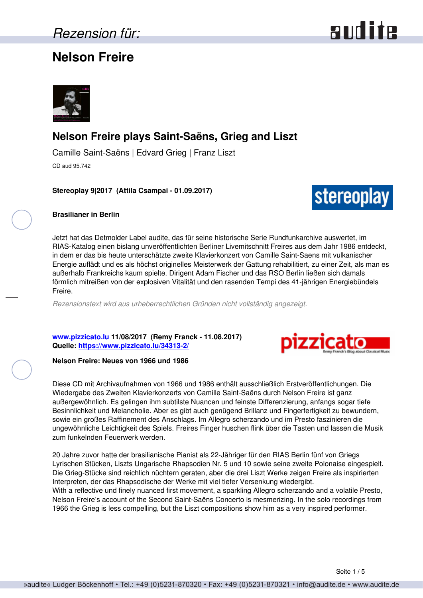### **Nelson Freire**





### **Nelson Freire plays Saint-Saëns, Grieg and Liszt**

Camille Saint-Saëns | Edvard Grieg | Franz Liszt CD aud 95.742

**Stereoplay 9|2017 (Attila Csampai - 01.09.2017)**



### **Brasilianer in Berlin**

Jetzt hat das Detmolder Label audite, das für seine historische Serie Rundfunkarchive auswertet, im RIAS-Katalog einen bislang unveröffentlichten Berliner Livemitschnitt Freires aus dem Jahr 1986 entdeckt, in dem er das bis heute unterschätzte zweite Klavierkonzert von Camille Saint-Saens mit vulkanischer Energie auflädt und es als höchst originelles Meisterwerk der Gattung rehabilitiert, zu einer Zeit, als man es außerhalb Frankreichs kaum spielte. Dirigent Adam Fischer und das RSO Berlin ließen sich damals förmlich mitreißen von der explosiven Vitalität und den rasenden Tempi des 41-jährigen Energiebündels Freire.

*Rezensionstext wird aus urheberrechtlichen Gründen nicht vollständig angezeigt.*

**[www.pizzicato.lu](http://www.pizzicato.lu) 11/08/2017 (Remy Franck - 11.08.2017) Quelle:<https://www.pizzicato.lu/34313-2/>**



### **Nelson Freire: Neues von 1966 und 1986**

Diese CD mit Archivaufnahmen von 1966 und 1986 enthält ausschließlich Erstveröffentlichungen. Die Wiedergabe des Zweiten Klavierkonzerts von Camille Saint-Saëns durch Nelson Freire ist ganz außergewöhnlich. Es gelingen ihm subtilste Nuancen und feinste Differenzierung, anfangs sogar tiefe Besinnlichkeit und Melancholie. Aber es gibt auch genügend Brillanz und Fingerfertigkeit zu bewundern, sowie ein großes Raffinement des Anschlags. Im Allegro scherzando und im Presto faszinieren die ungewöhnliche Leichtigkeit des Spiels. Freires Finger huschen flink über die Tasten und lassen die Musik zum funkelnden Feuerwerk werden.

20 Jahre zuvor hatte der brasilianische Pianist als 22-Jähriger für den RIAS Berlin fünf von Griegs Lyrischen Stücken, Liszts Ungarische Rhapsodien Nr. 5 und 10 sowie seine zweite Polonaise eingespielt. Die Grieg-Stücke sind reichlich nüchtern geraten, aber die drei Liszt Werke zeigen Freire als inspirierten Interpreten, der das Rhapsodische der Werke mit viel tiefer Versenkung wiedergibt. With a reflective und finely nuanced first movement, a sparkling Allegro scherzando and a volatile Presto, Nelson Freire's account of the Second Saint-Saëns Concerto is mesmerizing. In the solo recordings from 1966 the Grieg is less compelling, but the Liszt compositions show him as a very inspired performer.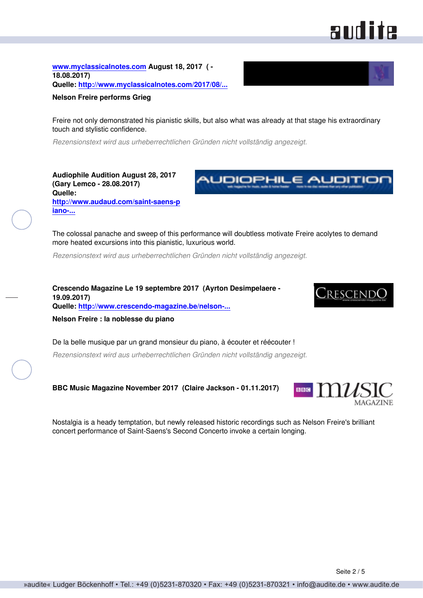# **RUILITE**

**[www.myclassicalnotes.com](http://www.myclassicalnotes.com) August 18, 2017 ( - 18.08.2017) Quelle: [http://www.myclassicalnotes.com/2017/08/...](http://www.myclassicalnotes.com/2017/08/nelson-freire-performs-grieg/)**



Freire not only demonstrated his pianistic skills, but also what was already at that stage his extraordinary touch and stylistic confidence.

*Rezensionstext wird aus urheberrechtlichen Gründen nicht vollständig angezeigt.*

**Audiophile Audition August 28, 2017 (Gary Lemco - 28.08.2017) Quelle: [http://www.audaud.com/saint-saens-p](http://www.audaud.com/saint-saens-piano-concerto-grieg-lyric-pieces-liszt-hungarian-rhapsodies-polonaise-nelson-freire-piano-rad) [iano-...](http://www.audaud.com/saint-saens-piano-concerto-grieg-lyric-pieces-liszt-hungarian-rhapsodies-polonaise-nelson-freire-piano-rad)**



The colossal panache and sweep of this performance will doubtless motivate Freire acolytes to demand more heated excursions into this pianistic, luxurious world.

*Rezensionstext wird aus urheberrechtlichen Gründen nicht vollständig angezeigt.*

**Crescendo Magazine Le 19 septembre 2017 (Ayrton Desimpelaere - 19.09.2017) Quelle: [http://www.crescendo-magazine.be/nelson-...](http://www.crescendo-magazine.be/nelson-freire-noblesse-piano/)**



**Nelson Freire : la noblesse du piano**

De la belle musique par un grand monsieur du piano, à écouter et réécouter !

*Rezensionstext wird aus urheberrechtlichen Gründen nicht vollständig angezeigt.*

**BBC Music Magazine November 2017 (Claire Jackson - 01.11.2017)**



Nostalgia is a heady temptation, but newly released historic recordings such as Nelson Freire's brilliant concert performance of Saint-Saens's Second Concerto invoke a certain longing.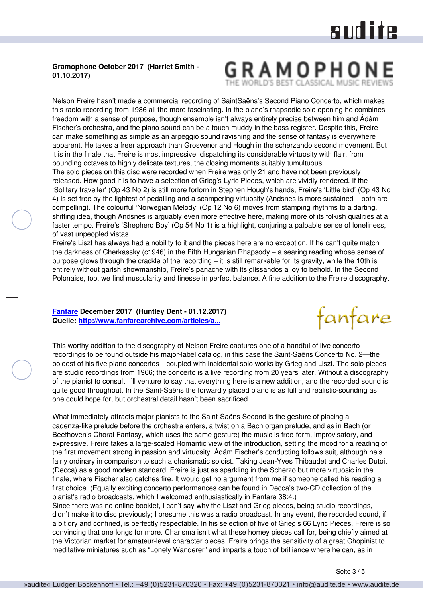# audite

### **Gramophone October 2017 (Harriet Smith - 01.10.2017)**

## GRAMOPHO

Nelson Freire hasn't made a commercial recording of SaintSaëns's Second Piano Concerto, which makes this radio recording from 1986 all the more fascinating. In the piano's rhapsodic solo opening he combines freedom with a sense of purpose, though ensemble isn't always entirely precise between him and Ádám Fischer's orchestra, and the piano sound can be a touch muddy in the bass register. Despite this, Freire can make something as simple as an arpeggio sound ravishing and the sense of fantasy is everywhere apparent. He takes a freer approach than Grosvenor and Hough in the scherzando second movement. But it is in the finale that Freire is most impressive, dispatching its considerable virtuosity with flair, from pounding octaves to highly delicate textures, the closing moments suitably tumultuous.

The solo pieces on this disc were recorded when Freire was only 21 and have not been previously released. How good it is to have a selection of Grieg's Lyric Pieces, which are vividly rendered. If the 'Solitary traveller' (Op 43 No 2) is still more forlorn in Stephen Hough's hands, Freire's 'Little bird' (Op 43 No 4) is set free by the lightest of pedalling and a scampering virtuosity (Andsnes is more sustained – both are compelling). The colourful 'Norwegian Melody' (Op 12 No 6) moves from stamping rhythms to a darting, shifting idea, though Andsnes is arguably even more effective here, making more of its folkish qualities at a faster tempo. Freire's 'Shepherd Boy' (Op 54 No 1) is a highlight, conjuring a palpable sense of loneliness, of vast unpeopled vistas.

Freire's Liszt has always had a nobility to it and the pieces here are no exception. If he can't quite match the darkness of Cherkassky (c1946) in the Fifth Hungarian Rhapsody – a searing reading whose sense of purpose glows through the crackle of the recording – it is still remarkable for its gravity, while the 10th is entirely without garish showmanship, Freire's panache with its glissandos a joy to behold. In the Second Polonaise, too, we find muscularity and finesse in perfect balance. A fine addition to the Freire discography.

### **[Fanfare](http://www.fanfaremag.com/) December 2017 (Huntley Dent - 01.12.2017) Quelle: [http://www.fanfarearchive.com/articles/a...](http://www.fanfarearchive.com/articles/atop/41_3/4133200.az_SAINT_SAENS_Piano_Concerto.html)**



This worthy addition to the discography of Nelson Freire captures one of a handful of live concerto recordings to be found outside his major-label catalog, in this case the Saint-Saëns Concerto No. 2—the boldest of his five piano concertos—coupled with incidental solo works by Grieg and Liszt. The solo pieces are studio recordings from 1966; the concerto is a live recording from 20 years later. Without a discography of the pianist to consult, I'll venture to say that everything here is a new addition, and the recorded sound is quite good throughout. In the Saint-Saëns the forwardly placed piano is as full and realistic-sounding as one could hope for, but orchestral detail hasn't been sacrificed.

What immediately attracts major pianists to the Saint-Saëns Second is the gesture of placing a cadenza-like prelude before the orchestra enters, a twist on a Bach organ prelude, and as in Bach (or Beethoven's Choral Fantasy, which uses the same gesture) the music is free-form, improvisatory, and expressive. Freire takes a large-scaled Romantic view of the introduction, setting the mood for a reading of the first movement strong in passion and virtuosity. Ádám Fischer's conducting follows suit, although he's fairly ordinary in comparison to such a charismatic soloist. Taking Jean-Yves Thibaudet and Charles Dutoit (Decca) as a good modern standard, Freire is just as sparkling in the Scherzo but more virtuosic in the finale, where Fischer also catches fire. It would get no argument from me if someone called his reading a first choice. (Equally exciting concerto performances can be found in Decca's two-CD collection of the pianist's radio broadcasts, which I welcomed enthusiastically in Fanfare 38:4.)

Since there was no online booklet, I can't say why the Liszt and Grieg pieces, being studio recordings, didn't make it to disc previously; I presume this was a radio broadcast. In any event, the recorded sound, if a bit dry and confined, is perfectly respectable. In his selection of five of Grieg's 66 Lyric Pieces, Freire is so convincing that one longs for more. Charisma isn't what these homey pieces call for, being chiefly aimed at the Victorian market for amateur-level character pieces. Freire brings the sensitivity of a great Chopinist to meditative miniatures such as "Lonely Wanderer" and imparts a touch of brilliance where he can, as in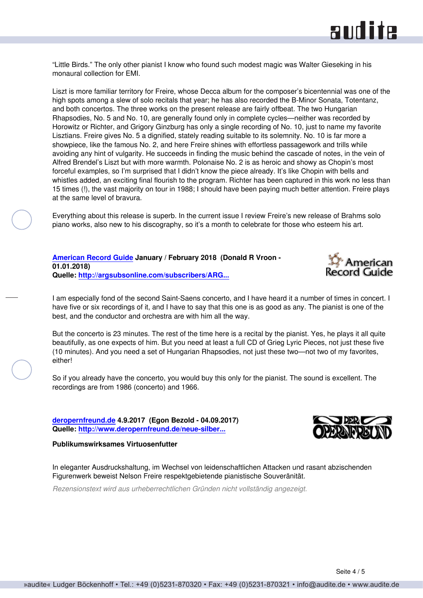

"Little Birds." The only other pianist I know who found such modest magic was Walter Gieseking in his monaural collection for EMI.

Liszt is more familiar territory for Freire, whose Decca album for the composer's bicentennial was one of the high spots among a slew of solo recitals that year; he has also recorded the B-Minor Sonata, Totentanz, and both concertos. The three works on the present release are fairly offbeat. The two Hungarian Rhapsodies, No. 5 and No. 10, are generally found only in complete cycles—neither was recorded by Horowitz or Richter, and Grigory Ginzburg has only a single recording of No. 10, just to name my favorite Lisztians. Freire gives No. 5 a dignified, stately reading suitable to its solemnity. No. 10 is far more a showpiece, like the famous No. 2, and here Freire shines with effortless passagework and trills while avoiding any hint of vulgarity. He succeeds in finding the music behind the cascade of notes, in the vein of Alfred Brendel's Liszt but with more warmth. Polonaise No. 2 is as heroic and showy as Chopin's most forceful examples, so I'm surprised that I didn't know the piece already. It's like Chopin with bells and whistles added, an exciting final flourish to the program. Richter has been captured in this work no less than 15 times (!), the vast majority on tour in 1988; I should have been paying much better attention. Freire plays at the same level of bravura.

Everything about this release is superb. In the current issue I review Freire's new release of Brahms solo piano works, also new to his discography, so it's a month to celebrate for those who esteem his art.

**[American Record Guide](http://www.americanrecordguide.com) January / February 2018 (Donald R Vroon - 01.01.2018) Quelle: [http://argsubsonline.com/subscribers/ARG...](http://argsubsonline.com/subscribers/ARG1801.pdf)**



I am especially fond of the second Saint-Saens concerto, and I have heard it a number of times in concert. I have five or six recordings of it, and I have to say that this one is as good as any. The pianist is one of the best, and the conductor and orchestra are with him all the way.

But the concerto is 23 minutes. The rest of the time here is a recital by the pianist. Yes, he plays it all quite beautifully, as one expects of him. But you need at least a full CD of Grieg Lyric Pieces, not just these five (10 minutes). And you need a set of Hungarian Rhapsodies, not just these two—not two of my favorites, either!

So if you already have the concerto, you would buy this only for the pianist. The sound is excellent. The recordings are from 1986 (concerto) and 1966.

**[deropernfreund.de](http://www.deropernfreund.de) 4.9.2017 (Egon Bezold - 04.09.2017) Quelle: [http://www.deropernfreund.de/neue-silber...](http://www.deropernfreund.de/neue-silberscheiben.html)**

#### **Publikumswirksames Virtuosenfutter**

In eleganter Ausdruckshaltung, im Wechsel von leidenschaftlichen Attacken und rasant abzischenden Figurenwerk beweist Nelson Freire respektgebietende pianistische Souveränität.

*Rezensionstext wird aus urheberrechtlichen Gründen nicht vollständig angezeigt.*